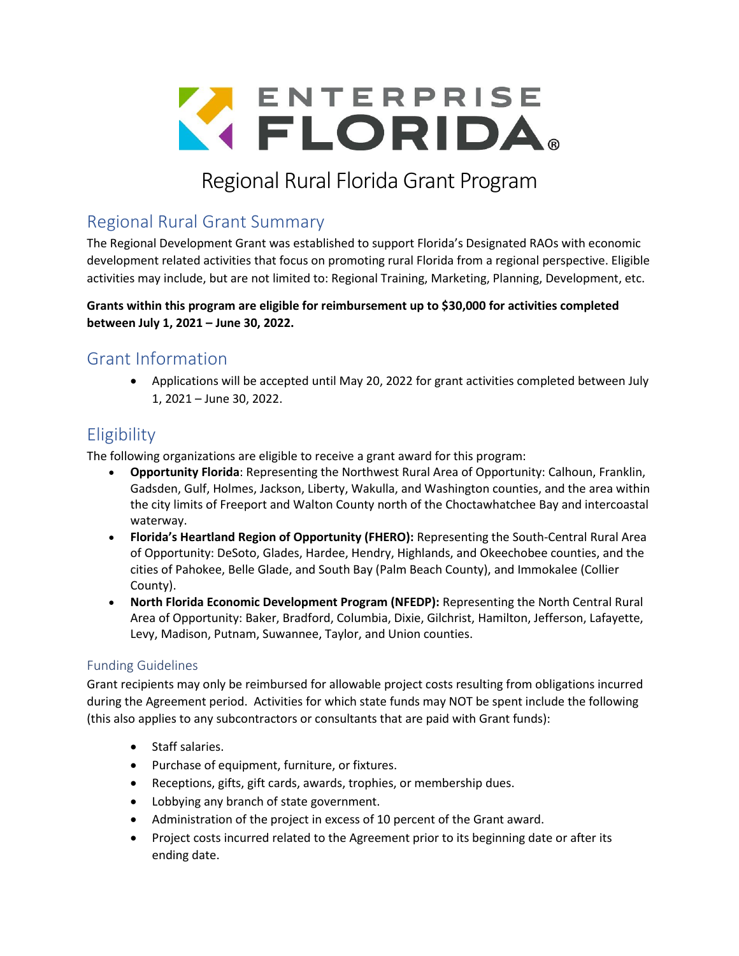

# Regional Rural Florida Grant Program

## Regional Rural Grant Summary

The Regional Development Grant was established to support Florida's Designated RAOs with economic development related activities that focus on promoting rural Florida from a regional perspective. Eligible activities may include, but are not limited to: Regional Training, Marketing, Planning, Development, etc.

**Grants within this program are eligible for reimbursement up to \$30,000 for activities completed between July 1, 2021 – June 30, 2022.**

### Grant Information

• Applications will be accepted until May 20, 2022 for grant activities completed between July 1, 2021 – June 30, 2022.

# **Eligibility**

The following organizations are eligible to receive a grant award for this program:

- **Opportunity Florida**: Representing the Northwest Rural Area of Opportunity: Calhoun, Franklin, Gadsden, Gulf, Holmes, Jackson, Liberty, Wakulla, and Washington counties, and the area within the city limits of Freeport and Walton County north of the Choctawhatchee Bay and intercoastal waterway.
- **Florida's Heartland Region of Opportunity (FHERO):** Representing the South-Central Rural Area of Opportunity: DeSoto, Glades, Hardee, Hendry, Highlands, and Okeechobee counties, and the cities of Pahokee, Belle Glade, and South Bay (Palm Beach County), and Immokalee (Collier County).
- **North Florida Economic Development Program (NFEDP):** Representing the North Central Rural Area of Opportunity: Baker, Bradford, Columbia, Dixie, Gilchrist, Hamilton, Jefferson, Lafayette, Levy, Madison, Putnam, Suwannee, Taylor, and Union counties.

#### Funding Guidelines

Grant recipients may only be reimbursed for allowable project costs resulting from obligations incurred during the Agreement period. Activities for which state funds may NOT be spent include the following (this also applies to any subcontractors or consultants that are paid with Grant funds):

- Staff salaries.
- Purchase of equipment, furniture, or fixtures.
- Receptions, gifts, gift cards, awards, trophies, or membership dues.
- Lobbying any branch of state government.
- Administration of the project in excess of 10 percent of the Grant award.
- Project costs incurred related to the Agreement prior to its beginning date or after its ending date.